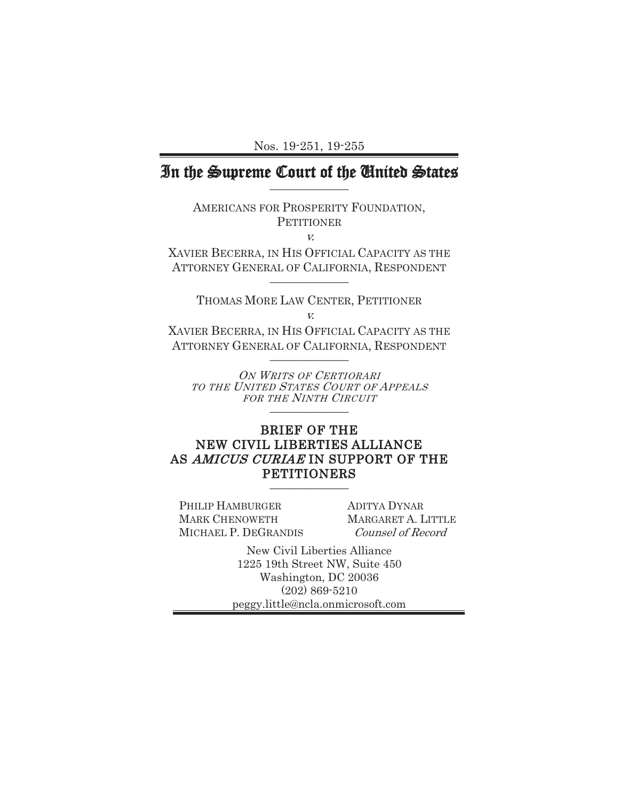Nos. 19-251, 19-255

# In the Supreme Court of the United States

AMERICANS FOR PROSPERITY FOUNDATION, **PETITIONER** 

v.

XAVIER BECERRA, IN HIS OFFICIAL CAPACITY AS THE ATTORNEY GENERAL OF CALIFORNIA, RESPONDENT  $\frac{1}{2}$ 

THOMAS MORE LAW CENTER, PETITIONER v.

XAVIER BECERRA, IN HIS OFFICIAL CAPACITY AS THE ATTORNEY GENERAL OF CALIFORNIA, RESPONDENT  $\frac{1}{2}$ 

ON WRITS OF CERTIORARI TO THE UNITED STATES COURT OF APPEALS FOR THE NINTH CIRCUIT \_\_\_\_\_\_\_\_\_\_\_\_\_

### BRIEF OF THE NEW CIVIL LIBERTIES ALLIANCE AS AMICUS CURIAE IN SUPPORT OF THE **PETITIONERS**

PHILIP HAMBURGER MARK CHENOWETH MICHAEL P. DEGRANDIS ADITYA DYNAR MARGARET A. LITTLE Counsel of Record

New Civil Liberties Alliance 1225 19th Street NW, Suite 450 Washington, DC 20036 (202) 869-5210 peggy.little@ncla.onmicrosoft.com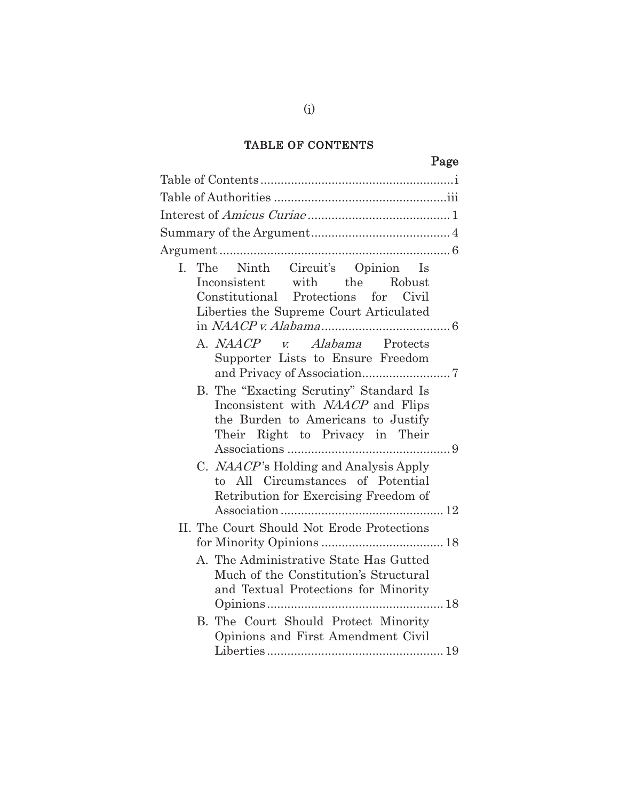## TABLE OF CONTENTS

# Page

| I. The Ninth Circuit's Opinion Is<br>Inconsistent with the Robust<br>Constitutional Protections for Civil<br>Liberties the Supreme Court Articulated        |
|-------------------------------------------------------------------------------------------------------------------------------------------------------------|
| A. NAACP v. Alabama Protects<br>Supporter Lists to Ensure Freedom                                                                                           |
| B. The "Exacting Scrutiny" Standard Is<br>Inconsistent with <i>NAACP</i> and Flips<br>the Burden to Americans to Justify<br>Their Right to Privacy in Their |
| C. NAACP's Holding and Analysis Apply<br>to All Circumstances of Potential<br>Retribution for Exercising Freedom of                                         |
| II. The Court Should Not Erode Protections                                                                                                                  |
| A. The Administrative State Has Gutted<br>Much of the Constitution's Structural<br>and Textual Protections for Minority                                     |
| B. The Court Should Protect Minority<br>Opinions and First Amendment Civil                                                                                  |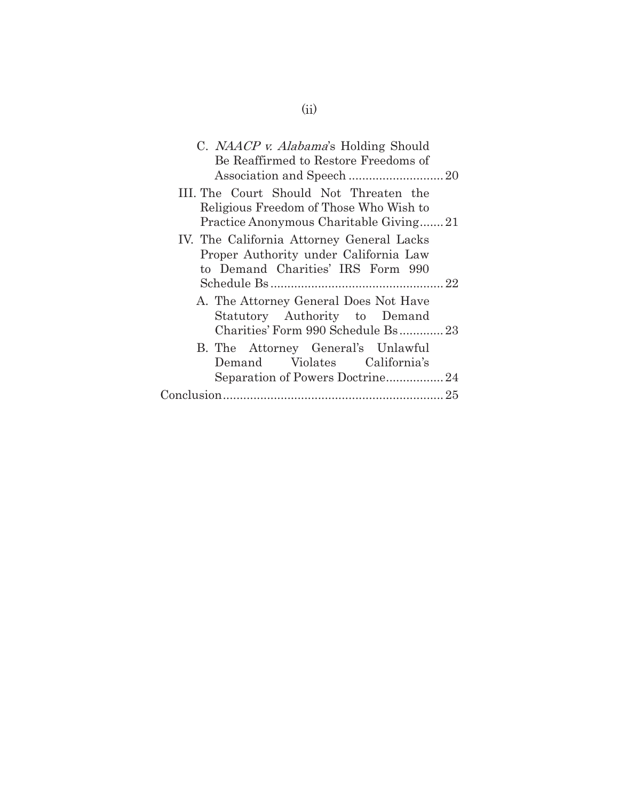| C. NAACP v. Alabama's Holding Should<br>Be Reaffirmed to Restore Freedoms of     |  |
|----------------------------------------------------------------------------------|--|
|                                                                                  |  |
| III. The Court Should Not Threaten the<br>Religious Freedom of Those Who Wish to |  |
| Practice Anonymous Charitable Giving21                                           |  |
| IV. The California Attorney General Lacks                                        |  |
| Proper Authority under California Law                                            |  |
| to Demand Charities' IRS Form 990                                                |  |
|                                                                                  |  |
| A. The Attorney General Does Not Have                                            |  |
| Statutory Authority to Demand                                                    |  |
| Charities' Form 990 Schedule Bs 23                                               |  |
| B. The Attorney General's Unlawful                                               |  |
| Demand Violates California's                                                     |  |
|                                                                                  |  |
|                                                                                  |  |
|                                                                                  |  |

(ii)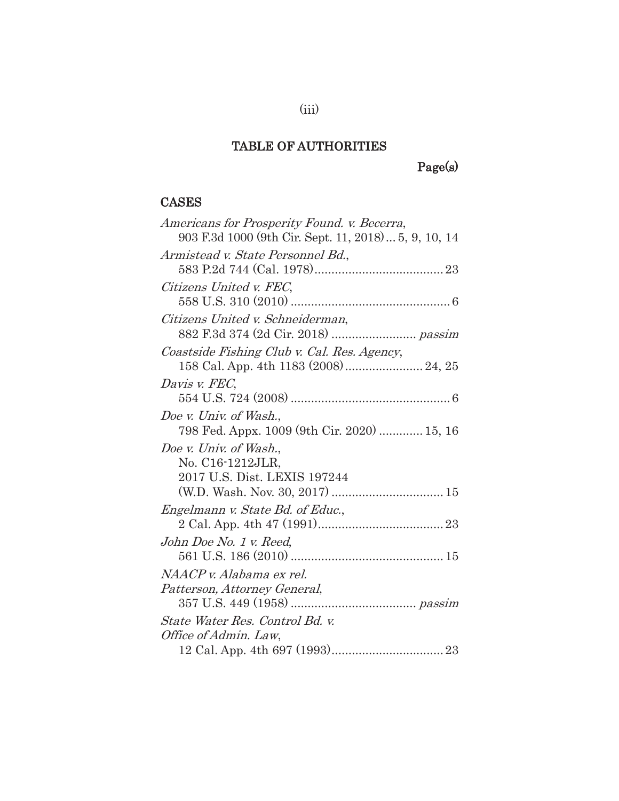## TABLE OF AUTHORITIES

Page(s)

### CASES

| Americans for Prosperity Found. v. Becerra,          |
|------------------------------------------------------|
| 903 F.3d 1000 (9th Cir. Sept. 11, 2018) 5, 9, 10, 14 |
| Armistead v. State Personnel Bd.,                    |
|                                                      |
| Citizens United v. FEC,                              |
|                                                      |
| Citizens United v. Schneiderman,                     |
|                                                      |
| Coastside Fishing Club v. Cal. Res. Agency,          |
|                                                      |
| Davis v. FEC.                                        |
|                                                      |
| Doe v. Univ. of Wash.,                               |
| 798 Fed. Appx. 1009 (9th Cir. 2020)  15, 16          |
| Doe v. Univ. of Wash.,                               |
| No. C16-1212JLR,                                     |
| 2017 U.S. Dist. LEXIS 197244                         |
|                                                      |
| Engelmann v. State Bd. of Educ.,                     |
|                                                      |
| John Doe No. 1 v. Reed,                              |
|                                                      |
| NAACP v. Alabama ex rel.                             |
| Patterson, Attorney General,                         |
|                                                      |
| State Water Res. Control Bd. v.                      |
| Office of Admin. Law,                                |
|                                                      |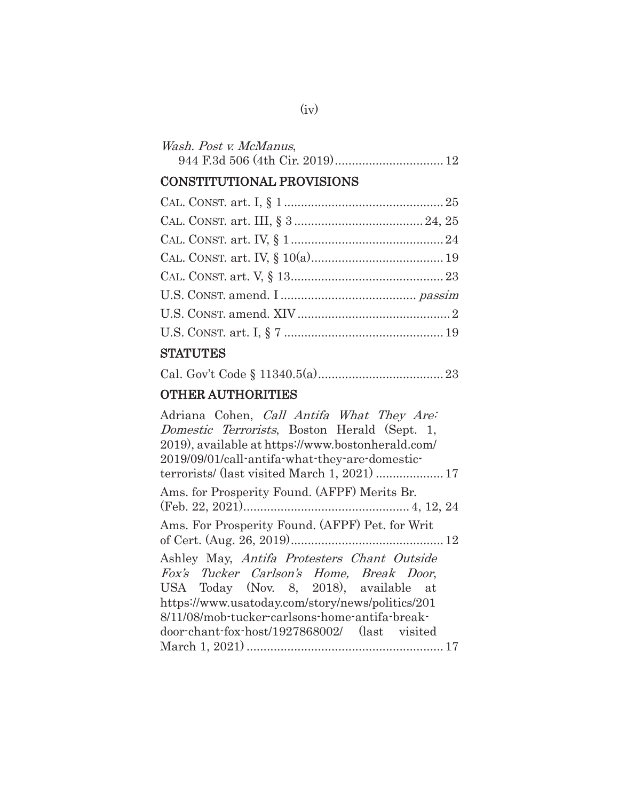| Wash. Post v. McManus, |  |
|------------------------|--|
|                        |  |

## CONSTITUTIONAL PROVISIONS

## **STATUTES**

|--|--|--|--|--|

## OTHER AUTHORITIES

| Adriana Cohen, <i>Call Antifa What They Are</i> : |
|---------------------------------------------------|
| Domestic Terrorists, Boston Herald (Sept. 1,      |
| 2019), available at https://www.bostonherald.com/ |
| 2019/09/01/call-antifa-what-they-are-domestic-    |
|                                                   |
| Ams. for Prosperity Found. (AFPF) Merits Br.      |
|                                                   |
| Ams. For Prosperity Found. (AFPF) Pet. for Writ   |
|                                                   |
| Ashley May, Antifa Protesters Chant Outside       |
| Fox's Tucker Carlson's Home, Break Door,          |
| USA Today (Nov. 8, 2018), available at            |
| https://www.usatoday.com/story/news/politics/201  |
| 8/11/08/mob-tucker-carlsons-home-antifa-break-    |
| door-chant-fox-host/1927868002/ (last visited     |
|                                                   |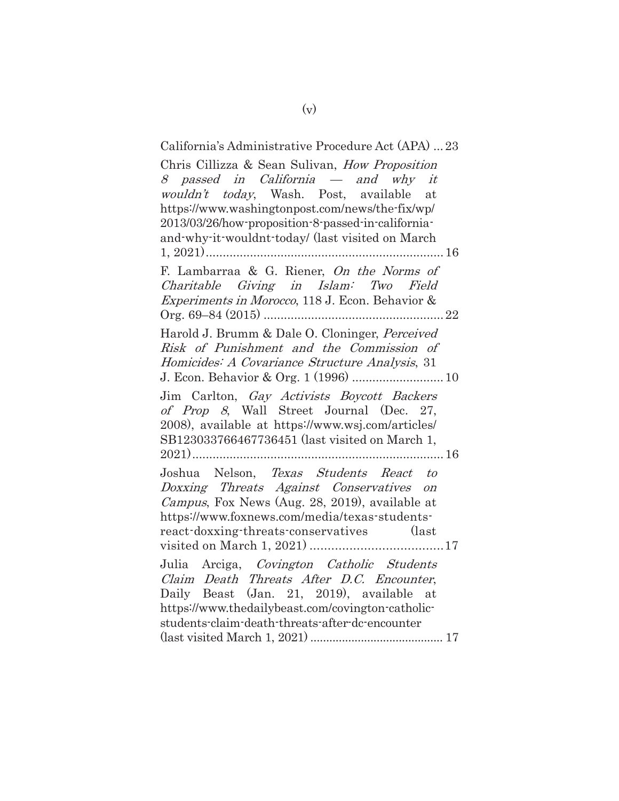## California's Administrative Procedure Act (APA) ... 23 Chris Cillizza & Sean Sulivan, How Proposition 8 passed in California — and why it wouldn't today, Wash. Post, available at https://www.washingtonpost.com/news/the-fix/wp/ 2013/03/26/how-proposition-8-passed-in-californiaand-why-it-wouldnt-today/ (last visited on March 1, 2021) ...................................................................... 16 F. Lambarraa & G. Riener, On the Norms of Charitable Giving in Islam: Two Field Experiments in Morocco, 118 J. Econ. Behavior & Org. 69–84 (2015) ..................................................... 22 Harold J. Brumm & Dale O. Cloninger, Perceived Risk of Punishment and the Commission of Homicides: A Covariance Structure Analysis, 31 J. Econ. Behavior & Org. 1 (1996) ........................... 10 Jim Carlton, Gay Activists Boycott Backers of Prop 8, Wall Street Journal (Dec. 27, 2008), available at https://www.wsj.com/articles/ SB123033766467736451 (last visited on March 1, 2021) .......................................................................... 16 Joshua Nelson, Texas Students React to Doxxing Threats Against Conservatives on Campus, Fox News (Aug. 28, 2019), available at https://www.foxnews.com/media/texas-studentsreact-doxxing-threats-conservatives (last visited on March 1, 2021) ..................................... 17 Julia Arciga, Covington Catholic Students Claim Death Threats After D.C. Encounter, Daily Beast (Jan. 21, 2019), available at https://www.thedailybeast.com/covington-catholicstudents-claim-death-threats-after-dc-encounter (last visited March 1, 2021) .......................................... 17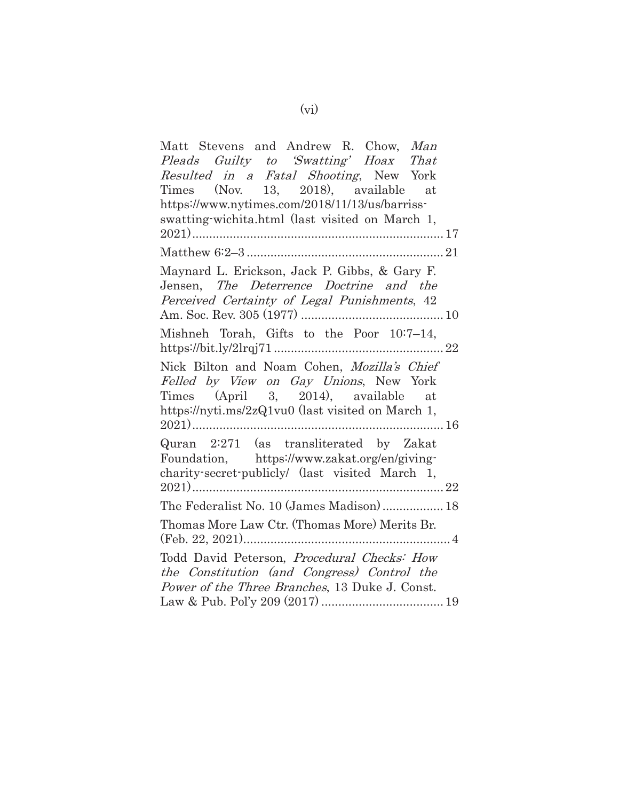| Matt Stevens and Andrew R. Chow, Man                                                    |
|-----------------------------------------------------------------------------------------|
| Pleads Guilty to 'Swatting' Hoax That                                                   |
| Resulted in a Fatal Shooting, New York                                                  |
| Times (Nov. 13, 2018), available at                                                     |
| https://www.nytimes.com/2018/11/13/us/barriss-                                          |
| swatting-wichita.html (last visited on March 1,                                         |
|                                                                                         |
|                                                                                         |
| Maynard L. Erickson, Jack P. Gibbs, & Gary F.                                           |
| Jensen, The Deterrence Doctrine and the                                                 |
| Perceived Certainty of Legal Punishments, 42                                            |
|                                                                                         |
| Mishneh Torah, Gifts to the Poor 10:7-14,                                               |
|                                                                                         |
| Nick Bilton and Noam Cohen, Mozilla's Chief<br>Felled by View on Gay Unions, New York   |
| Times (April 3, 2014), available at                                                     |
| https://nyti.ms/2zQ1vu0 (last visited on March 1,                                       |
|                                                                                         |
| Quran 2:271 (as transliterated by Zakat<br>Foundation, https://www.zakat.org/en/giving- |
| charity-secret-publicly/ (last visited March 1,                                         |
|                                                                                         |
| The Federalist No. 10 (James Madison)  18                                               |
| Thomas More Law Ctr. (Thomas More) Merits Br.                                           |
|                                                                                         |
|                                                                                         |
| Todd David Peterson, Procedural Checks: How                                             |
| the Constitution (and Congress) Control the                                             |
| <i>Power of the Three Branches</i> , 13 Duke J. Const.                                  |
|                                                                                         |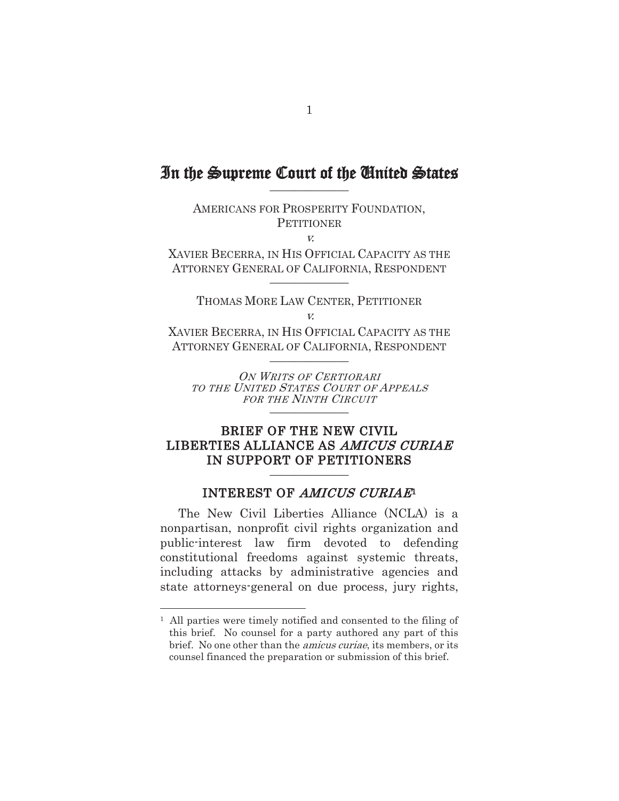## In the Supreme Court of the United States

AMERICANS FOR PROSPERITY FOUNDATION, **PETITIONER** v.

XAVIER BECERRA, IN HIS OFFICIAL CAPACITY AS THE ATTORNEY GENERAL OF CALIFORNIA, RESPONDENT \_\_\_\_\_\_\_\_\_\_\_\_\_

THOMAS MORE LAW CENTER, PETITIONER v.

XAVIER BECERRA, IN HIS OFFICIAL CAPACITY AS THE ATTORNEY GENERAL OF CALIFORNIA, RESPONDENT \_\_\_\_\_\_\_\_\_\_\_\_\_

ON WRITS OF CERTIORARI TO THE UNITED STATES COURT OF APPEALS FOR THE NINTH CIRCUIT \_\_\_\_\_\_\_\_\_\_\_\_\_

### BRIEF OF THE NEW CIVIL LIBERTIES ALLIANCE AS AMICUS CURIAE IN SUPPORT OF PETITIONERS

#### INTEREST OF AMICUS CURIAE<sup>1</sup>

The New Civil Liberties Alliance (NCLA) is a nonpartisan, nonprofit civil rights organization and public-interest law firm devoted to defending constitutional freedoms against systemic threats, including attacks by administrative agencies and state attorneys-general on due process, jury rights,

<sup>1</sup> All parties were timely notified and consented to the filing of this brief. No counsel for a party authored any part of this brief. No one other than the amicus curiae, its members, or its counsel financed the preparation or submission of this brief.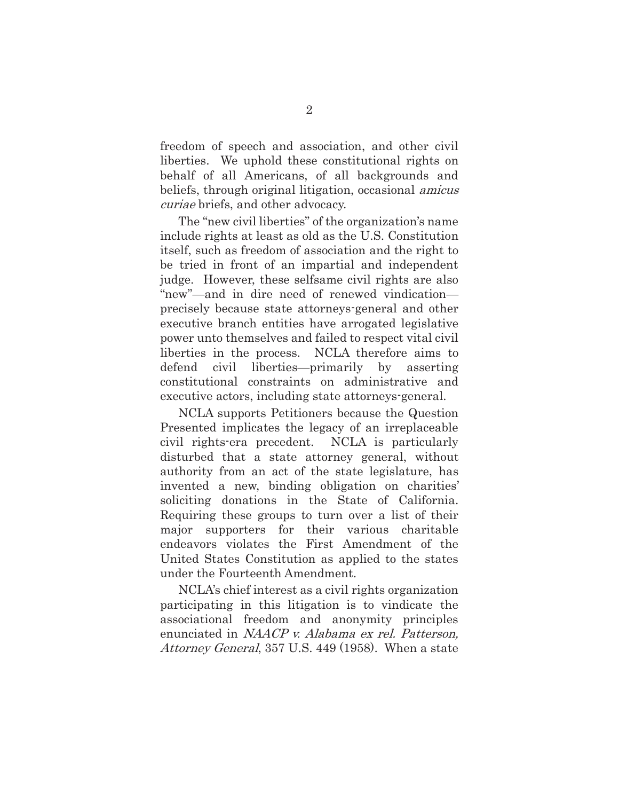freedom of speech and association, and other civil liberties. We uphold these constitutional rights on behalf of all Americans, of all backgrounds and beliefs, through original litigation, occasional amicus curiae briefs, and other advocacy.

The "new civil liberties" of the organization's name include rights at least as old as the U.S. Constitution itself, such as freedom of association and the right to be tried in front of an impartial and independent judge. However, these selfsame civil rights are also "new"—and in dire need of renewed vindication precisely because state attorneys-general and other executive branch entities have arrogated legislative power unto themselves and failed to respect vital civil liberties in the process. NCLA therefore aims to defend civil liberties—primarily by asserting constitutional constraints on administrative and executive actors, including state attorneys-general.

NCLA supports Petitioners because the Question Presented implicates the legacy of an irreplaceable civil rights-era precedent. NCLA is particularly disturbed that a state attorney general, without authority from an act of the state legislature, has invented a new, binding obligation on charities' soliciting donations in the State of California. Requiring these groups to turn over a list of their major supporters for their various charitable endeavors violates the First Amendment of the United States Constitution as applied to the states under the Fourteenth Amendment.

NCLA's chief interest as a civil rights organization participating in this litigation is to vindicate the associational freedom and anonymity principles enunciated in NAACP v. Alabama ex rel. Patterson, Attorney General, 357 U.S. 449 (1958). When a state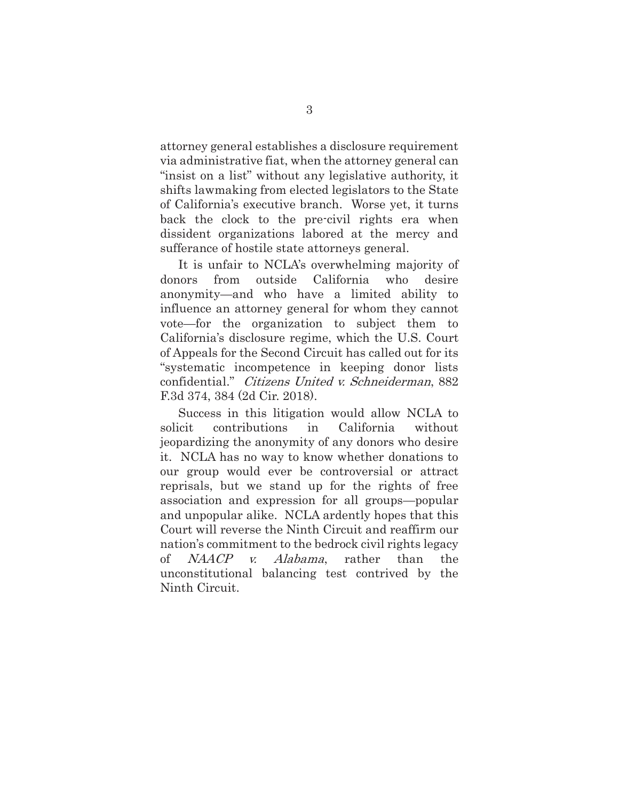attorney general establishes a disclosure requirement via administrative fiat, when the attorney general can "insist on a list" without any legislative authority, it shifts lawmaking from elected legislators to the State of California's executive branch. Worse yet, it turns back the clock to the pre-civil rights era when dissident organizations labored at the mercy and sufferance of hostile state attorneys general.

It is unfair to NCLA's overwhelming majority of donors from outside California who desire anonymity—and who have a limited ability to influence an attorney general for whom they cannot vote—for the organization to subject them to California's disclosure regime, which the U.S. Court of Appeals for the Second Circuit has called out for its "systematic incompetence in keeping donor lists confidential." Citizens United v. Schneiderman, 882 F.3d 374, 384 (2d Cir. 2018).

Success in this litigation would allow NCLA to solicit contributions in California without jeopardizing the anonymity of any donors who desire it. NCLA has no way to know whether donations to our group would ever be controversial or attract reprisals, but we stand up for the rights of free association and expression for all groups—popular and unpopular alike. NCLA ardently hopes that this Court will reverse the Ninth Circuit and reaffirm our nation's commitment to the bedrock civil rights legacy of NAACP v. Alabama, rather than the unconstitutional balancing test contrived by the Ninth Circuit.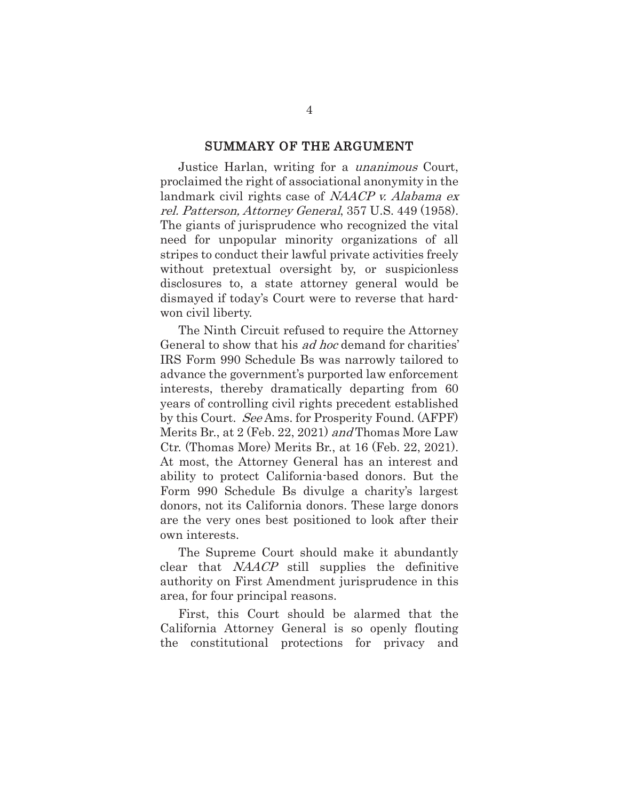#### SUMMARY OF THE ARGUMENT

Justice Harlan, writing for a unanimous Court, proclaimed the right of associational anonymity in the landmark civil rights case of NAACP v. Alabama ex rel. Patterson, Attorney General, 357 U.S. 449 (1958). The giants of jurisprudence who recognized the vital need for unpopular minority organizations of all stripes to conduct their lawful private activities freely without pretextual oversight by, or suspicionless disclosures to, a state attorney general would be dismayed if today's Court were to reverse that hardwon civil liberty.

The Ninth Circuit refused to require the Attorney General to show that his *ad hoc* demand for charities' IRS Form 990 Schedule Bs was narrowly tailored to advance the government's purported law enforcement interests, thereby dramatically departing from 60 years of controlling civil rights precedent established by this Court. See Ams. for Prosperity Found. (AFPF) Merits Br., at 2 (Feb. 22, 2021) and Thomas More Law Ctr. (Thomas More) Merits Br., at 16 (Feb. 22, 2021). At most, the Attorney General has an interest and ability to protect California-based donors. But the Form 990 Schedule Bs divulge a charity's largest donors, not its California donors. These large donors are the very ones best positioned to look after their own interests.

The Supreme Court should make it abundantly clear that NAACP still supplies the definitive authority on First Amendment jurisprudence in this area, for four principal reasons.

First, this Court should be alarmed that the California Attorney General is so openly flouting the constitutional protections for privacy and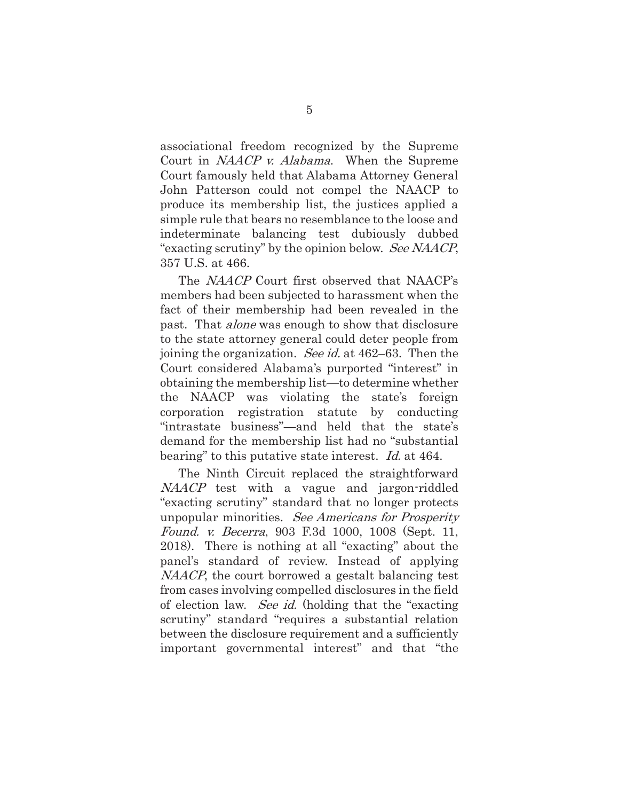associational freedom recognized by the Supreme Court in *NAACP v. Alabama*. When the Supreme Court famously held that Alabama Attorney General John Patterson could not compel the NAACP to produce its membership list, the justices applied a simple rule that bears no resemblance to the loose and indeterminate balancing test dubiously dubbed "exacting scrutiny" by the opinion below. See NAACP, 357 U.S. at 466.

The NAACP Court first observed that NAACP's members had been subjected to harassment when the fact of their membership had been revealed in the past. That alone was enough to show that disclosure to the state attorney general could deter people from joining the organization. See id. at 462–63. Then the Court considered Alabama's purported "interest" in obtaining the membership list—to determine whether the NAACP was violating the state's foreign corporation registration statute by conducting "intrastate business"—and held that the state's demand for the membership list had no "substantial bearing" to this putative state interest. *Id.* at 464.

The Ninth Circuit replaced the straightforward NAACP test with a vague and jargon-riddled "exacting scrutiny" standard that no longer protects unpopular minorities. See Americans for Prosperity Found. v. Becerra, 903 F.3d 1000, 1008 (Sept. 11, 2018). There is nothing at all "exacting" about the panel's standard of review. Instead of applying NAACP, the court borrowed a gestalt balancing test from cases involving compelled disclosures in the field of election law. See id. (holding that the "exacting scrutiny" standard "requires a substantial relation between the disclosure requirement and a sufficiently important governmental interest" and that "the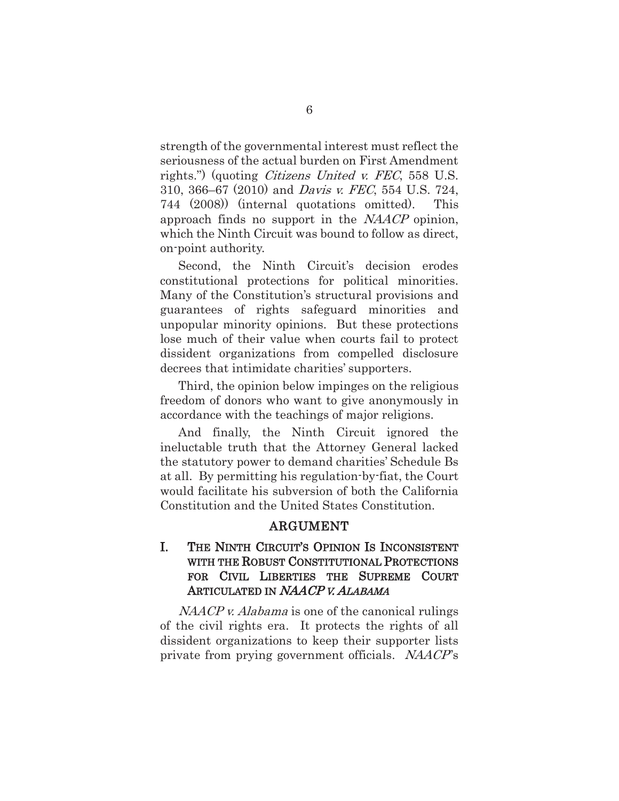strength of the governmental interest must reflect the seriousness of the actual burden on First Amendment rights.") (quoting *Citizens United v. FEC*, 558 U.S. 310, 366–67 (2010) and Davis v. FEC, 554 U.S. 724, 744 (2008)) (internal quotations omitted). This approach finds no support in the NAACP opinion, which the Ninth Circuit was bound to follow as direct, on-point authority.

Second, the Ninth Circuit's decision erodes constitutional protections for political minorities. Many of the Constitution's structural provisions and guarantees of rights safeguard minorities and unpopular minority opinions. But these protections lose much of their value when courts fail to protect dissident organizations from compelled disclosure decrees that intimidate charities' supporters.

Third, the opinion below impinges on the religious freedom of donors who want to give anonymously in accordance with the teachings of major religions.

And finally, the Ninth Circuit ignored the ineluctable truth that the Attorney General lacked the statutory power to demand charities' Schedule Bs at all. By permitting his regulation-by-fiat, the Court would facilitate his subversion of both the California Constitution and the United States Constitution.

#### ARGUMENT

### I. THE NINTH CIRCUIT'S OPINION IS INCONSISTENT WITH THE ROBUST CONSTITUTIONAL PROTECTIONS FOR CIVIL LIBERTIES THE SUPREME COURT ARTICULATED IN NAACP V. ALABAMA

NAACP v. Alabama is one of the canonical rulings of the civil rights era. It protects the rights of all dissident organizations to keep their supporter lists private from prying government officials. NAACP's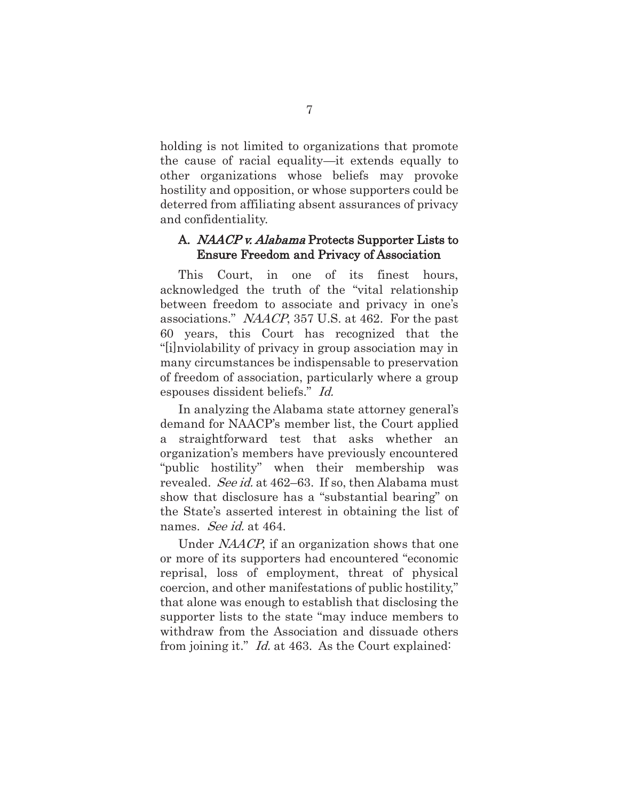holding is not limited to organizations that promote the cause of racial equality—it extends equally to other organizations whose beliefs may provoke hostility and opposition, or whose supporters could be deterred from affiliating absent assurances of privacy and confidentiality.

#### A. NAACP v. Alabama Protects Supporter Lists to Ensure Freedom and Privacy of Association

This Court, in one of its finest hours, acknowledged the truth of the "vital relationship between freedom to associate and privacy in one's associations." NAACP, 357 U.S. at 462. For the past 60 years, this Court has recognized that the "[i]nviolability of privacy in group association may in many circumstances be indispensable to preservation of freedom of association, particularly where a group espouses dissident beliefs." Id.

In analyzing the Alabama state attorney general's demand for NAACP's member list, the Court applied a straightforward test that asks whether an organization's members have previously encountered "public hostility" when their membership was revealed. See id. at 462–63. If so, then Alabama must show that disclosure has a "substantial bearing" on the State's asserted interest in obtaining the list of names. *See id.* at 464.

Under NAACP, if an organization shows that one or more of its supporters had encountered "economic reprisal, loss of employment, threat of physical coercion, and other manifestations of public hostility," that alone was enough to establish that disclosing the supporter lists to the state "may induce members to withdraw from the Association and dissuade others from joining it." Id. at 463. As the Court explained: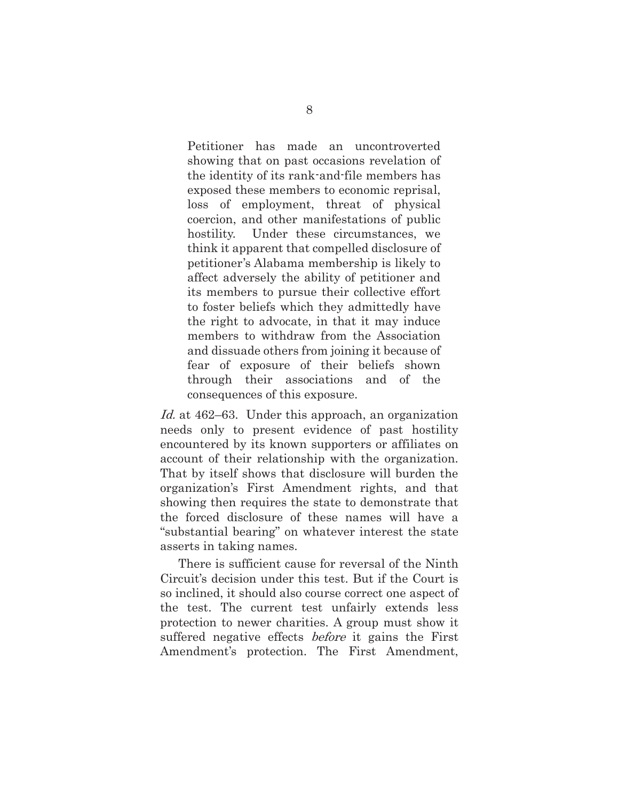Petitioner has made an uncontroverted showing that on past occasions revelation of the identity of its rank-and-file members has exposed these members to economic reprisal, loss of employment, threat of physical coercion, and other manifestations of public hostility. Under these circumstances, we think it apparent that compelled disclosure of petitioner's Alabama membership is likely to affect adversely the ability of petitioner and its members to pursue their collective effort to foster beliefs which they admittedly have the right to advocate, in that it may induce members to withdraw from the Association and dissuade others from joining it because of fear of exposure of their beliefs shown through their associations and of the consequences of this exposure.

Id. at 462–63. Under this approach, an organization needs only to present evidence of past hostility encountered by its known supporters or affiliates on account of their relationship with the organization. That by itself shows that disclosure will burden the organization's First Amendment rights, and that showing then requires the state to demonstrate that the forced disclosure of these names will have a "substantial bearing" on whatever interest the state asserts in taking names.

There is sufficient cause for reversal of the Ninth Circuit's decision under this test. But if the Court is so inclined, it should also course correct one aspect of the test. The current test unfairly extends less protection to newer charities. A group must show it suffered negative effects *before* it gains the First Amendment's protection. The First Amendment,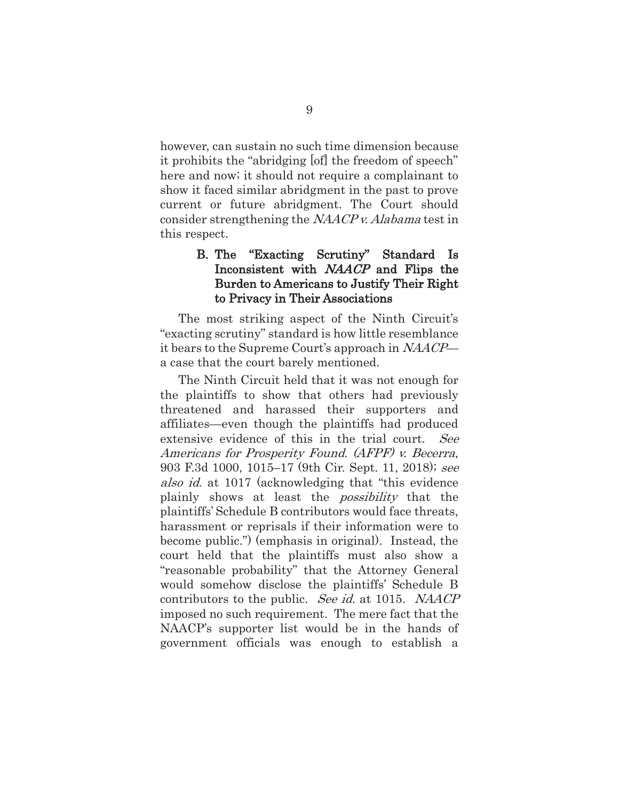however, can sustain no such time dimension because it prohibits the "abridging [of] the freedom of speech" here and now; it should not require a complainant to show it faced similar abridgment in the past to prove current or future abridgment. The Court should consider strengthening the NAACP v. Alabama test in this respect.

### B. The "Exacting Scrutiny" Standard Is Inconsistent with *NAACP* and Flips the Burden to Americans to Justify Their Right to Privacy in Their Associations

The most striking aspect of the Ninth Circuit's "exacting scrutiny" standard is how little resemblance it bears to the Supreme Court's approach in NAACP a case that the court barely mentioned.

The Ninth Circuit held that it was not enough for the plaintiffs to show that others had previously threatened and harassed their supporters and affiliates—even though the plaintiffs had produced extensive evidence of this in the trial court. See Americans for Prosperity Found. (AFPF) v. Becerra, 903 F.3d 1000, 1015–17 (9th Cir. Sept. 11, 2018); see also id. at 1017 (acknowledging that "this evidence" plainly shows at least the possibility that the plaintiffs' Schedule B contributors would face threats, harassment or reprisals if their information were to become public.") (emphasis in original). Instead, the court held that the plaintiffs must also show a "reasonable probability" that the Attorney General would somehow disclose the plaintiffs' Schedule B contributors to the public. See id. at 1015. NAACP imposed no such requirement. The mere fact that the NAACP's supporter list would be in the hands of government officials was enough to establish a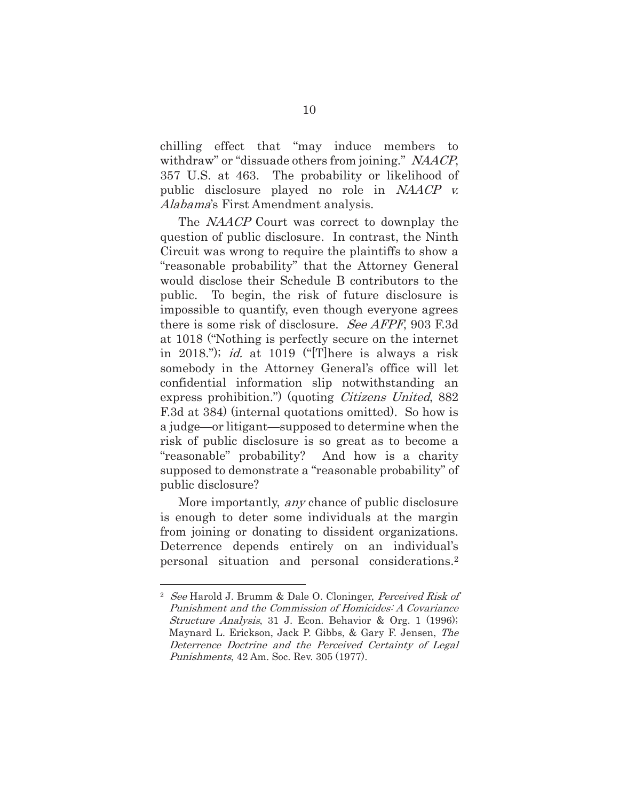chilling effect that "may induce members to withdraw" or "dissuade others from joining." NAACP, 357 U.S. at 463. The probability or likelihood of public disclosure played no role in NAACP v. Alabama's First Amendment analysis.

The *NAACP* Court was correct to downplay the question of public disclosure. In contrast, the Ninth Circuit was wrong to require the plaintiffs to show a "reasonable probability" that the Attorney General would disclose their Schedule B contributors to the public. To begin, the risk of future disclosure is impossible to quantify, even though everyone agrees there is some risk of disclosure. See AFPF, 903 F.3d at 1018 ("Nothing is perfectly secure on the internet in 2018."); *id.* at 1019 ("There is always a risk somebody in the Attorney General's office will let confidential information slip notwithstanding an express prohibition.") (quoting *Citizens United*, 882 F.3d at 384) (internal quotations omitted). So how is a judge—or litigant—supposed to determine when the risk of public disclosure is so great as to become a "reasonable" probability? And how is a charity supposed to demonstrate a "reasonable probability" of public disclosure?

More importantly, *any* chance of public disclosure is enough to deter some individuals at the margin from joining or donating to dissident organizations. Deterrence depends entirely on an individual's personal situation and personal considerations.2

<sup>&</sup>lt;sup>2</sup> See Harold J. Brumm & Dale O. Cloninger, Perceived Risk of Punishment and the Commission of Homicides: A Covariance Structure Analysis, 31 J. Econ. Behavior & Org. 1 (1996); Maynard L. Erickson, Jack P. Gibbs, & Gary F. Jensen, The Deterrence Doctrine and the Perceived Certainty of Legal Punishments, 42 Am. Soc. Rev. 305 (1977).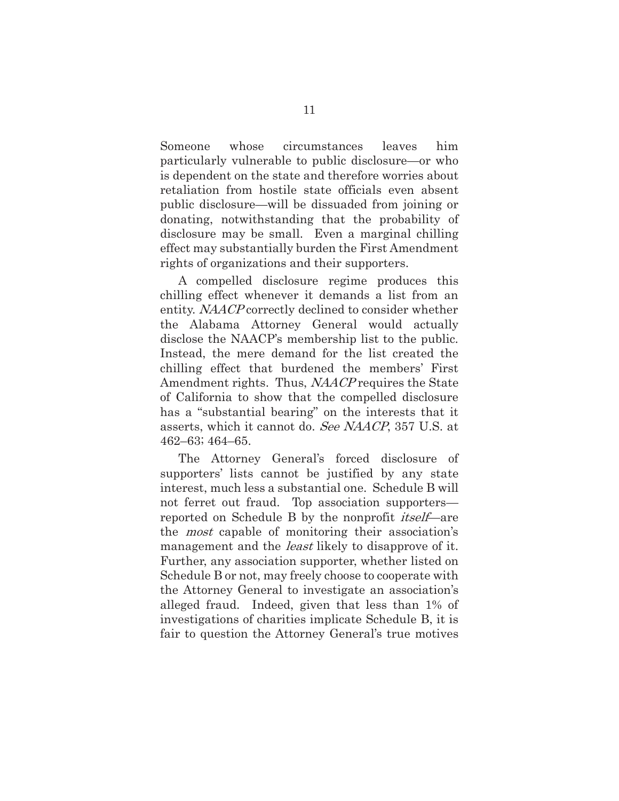Someone whose circumstances leaves him particularly vulnerable to public disclosure—or who is dependent on the state and therefore worries about retaliation from hostile state officials even absent public disclosure—will be dissuaded from joining or donating, notwithstanding that the probability of disclosure may be small. Even a marginal chilling effect may substantially burden the First Amendment rights of organizations and their supporters.

A compelled disclosure regime produces this chilling effect whenever it demands a list from an entity. NAACP correctly declined to consider whether the Alabama Attorney General would actually disclose the NAACP's membership list to the public. Instead, the mere demand for the list created the chilling effect that burdened the members' First Amendment rights. Thus, NAACP requires the State of California to show that the compelled disclosure has a "substantial bearing" on the interests that it asserts, which it cannot do. See NAACP, 357 U.S. at 462–63; 464–65.

The Attorney General's forced disclosure of supporters' lists cannot be justified by any state interest, much less a substantial one. Schedule B will not ferret out fraud. Top association supporters reported on Schedule B by the nonprofit *itself*—are the most capable of monitoring their association's management and the *least* likely to disapprove of it. Further, any association supporter, whether listed on Schedule B or not, may freely choose to cooperate with the Attorney General to investigate an association's alleged fraud. Indeed, given that less than 1% of investigations of charities implicate Schedule B, it is fair to question the Attorney General's true motives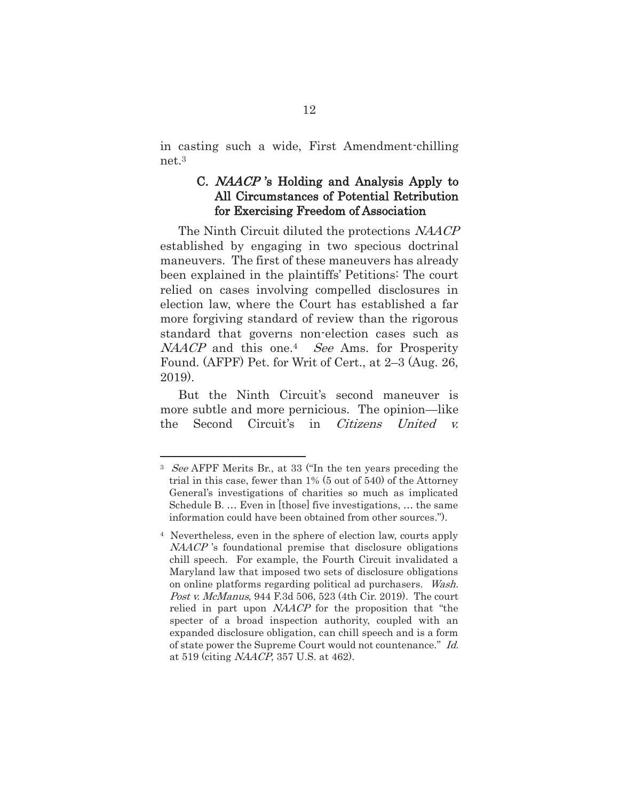in casting such a wide, First Amendment-chilling net.3

### C. NAACP 's Holding and Analysis Apply to All Circumstances of Potential Retribution for Exercising Freedom of Association

The Ninth Circuit diluted the protections NAACP established by engaging in two specious doctrinal maneuvers. The first of these maneuvers has already been explained in the plaintiffs' Petitions: The court relied on cases involving compelled disclosures in election law, where the Court has established a far more forgiving standard of review than the rigorous standard that governs non-election cases such as NAACP and this one.<sup>4</sup> See Ams. for Prosperity Found. (AFPF) Pet. for Writ of Cert., at 2–3 (Aug. 26, 2019).

But the Ninth Circuit's second maneuver is more subtle and more pernicious. The opinion—like the Second Circuit's in Citizens United v.

<sup>&</sup>lt;sup>3</sup> See AFPF Merits Br., at 33 ("In the ten years preceding the trial in this case, fewer than 1% (5 out of 540) of the Attorney General's investigations of charities so much as implicated Schedule B. … Even in [those] five investigations, … the same information could have been obtained from other sources.").

<sup>4</sup> Nevertheless, even in the sphere of election law, courts apply NAACP 's foundational premise that disclosure obligations chill speech. For example, the Fourth Circuit invalidated a Maryland law that imposed two sets of disclosure obligations on online platforms regarding political ad purchasers. Wash. Post v. McManus, 944 F.3d 506, 523 (4th Cir. 2019). The court relied in part upon *NAACP* for the proposition that "the specter of a broad inspection authority, coupled with an expanded disclosure obligation, can chill speech and is a form of state power the Supreme Court would not countenance." Id. at 519 (citing NAACP, 357 U.S. at 462).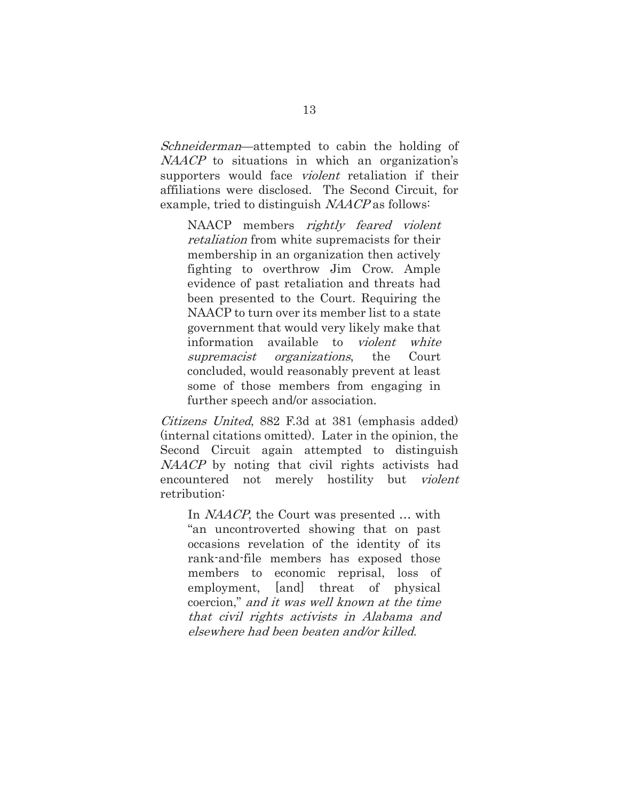Schneiderman—attempted to cabin the holding of NAACP to situations in which an organization's supporters would face *violent* retaliation if their affiliations were disclosed. The Second Circuit, for example, tried to distinguish NAACP as follows:

NAACP members rightly feared violent retaliation from white supremacists for their membership in an organization then actively fighting to overthrow Jim Crow. Ample evidence of past retaliation and threats had been presented to the Court. Requiring the NAACP to turn over its member list to a state government that would very likely make that information available to *violent white* supremacist organizations, the Court concluded, would reasonably prevent at least some of those members from engaging in further speech and/or association.

Citizens United, 882 F.3d at 381 (emphasis added) (internal citations omitted). Later in the opinion, the Second Circuit again attempted to distinguish NAACP by noting that civil rights activists had encountered not merely hostility but violent retribution:

In *NAACP*, the Court was presented ... with "an uncontroverted showing that on past occasions revelation of the identity of its rank-and-file members has exposed those members to economic reprisal, loss of employment, [and] threat of physical coercion," and it was well known at the time that civil rights activists in Alabama and elsewhere had been beaten and/or killed.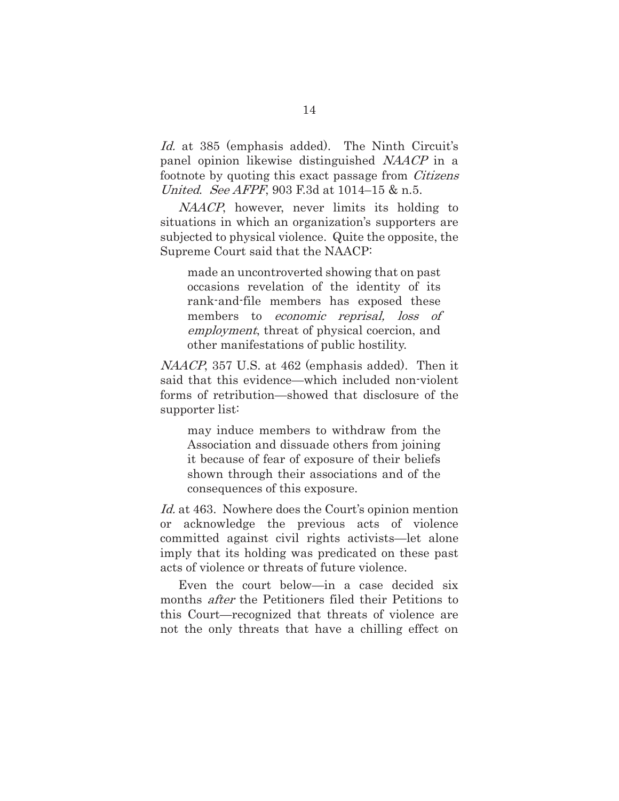Id. at 385 (emphasis added). The Ninth Circuit's panel opinion likewise distinguished NAACP in a footnote by quoting this exact passage from Citizens United. See AFPF, 903 F.3d at 1014–15 & n.5.

NAACP, however, never limits its holding to situations in which an organization's supporters are subjected to physical violence. Quite the opposite, the Supreme Court said that the NAACP:

made an uncontroverted showing that on past occasions revelation of the identity of its rank-and-file members has exposed these members to *economic reprisal*, *loss of* employment, threat of physical coercion, and other manifestations of public hostility.

NAACP, 357 U.S. at 462 (emphasis added). Then it said that this evidence—which included non-violent forms of retribution—showed that disclosure of the supporter list:

may induce members to withdraw from the Association and dissuade others from joining it because of fear of exposure of their beliefs shown through their associations and of the consequences of this exposure.

Id. at 463. Nowhere does the Court's opinion mention or acknowledge the previous acts of violence committed against civil rights activists—let alone imply that its holding was predicated on these past acts of violence or threats of future violence.

Even the court below—in a case decided six months after the Petitioners filed their Petitions to this Court—recognized that threats of violence are not the only threats that have a chilling effect on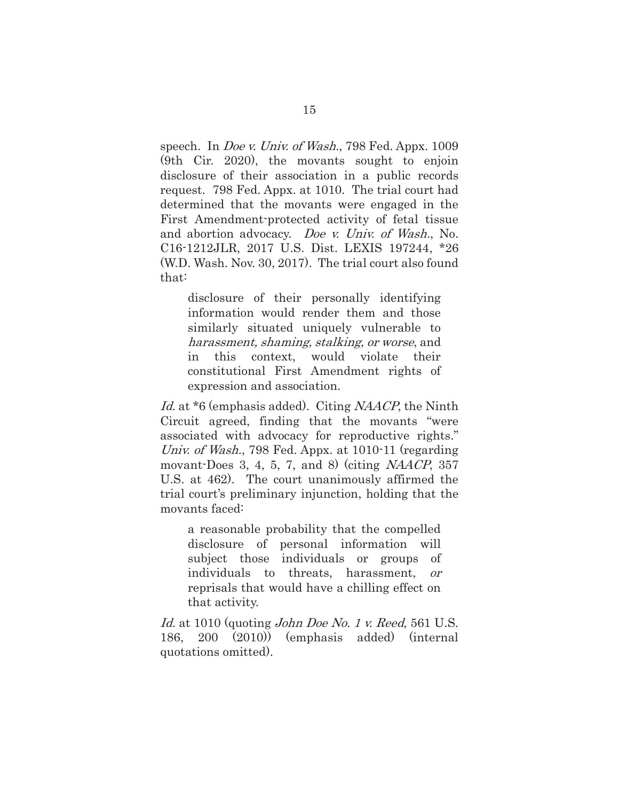speech. In *Doe v. Univ. of Wash.*, 798 Fed. Appx. 1009 (9th Cir. 2020), the movants sought to enjoin disclosure of their association in a public records request. 798 Fed. Appx. at 1010. The trial court had determined that the movants were engaged in the First Amendment-protected activity of fetal tissue and abortion advocacy. Doe v. Univ. of Wash., No. C16-1212JLR, 2017 U.S. Dist. LEXIS 197244, \*26 (W.D. Wash. Nov. 30, 2017). The trial court also found that:

disclosure of their personally identifying information would render them and those similarly situated uniquely vulnerable to harassment, shaming, stalking, or worse, and in this context, would violate their constitutional First Amendment rights of expression and association.

Id. at \*6 (emphasis added). Citing NAACP, the Ninth Circuit agreed, finding that the movants "were associated with advocacy for reproductive rights." Univ. of Wash., 798 Fed. Appx. at 1010-11 (regarding movant-Does 3, 4, 5, 7, and 8) (citing  $NAACP$ , 357 U.S. at 462). The court unanimously affirmed the trial court's preliminary injunction, holding that the movants faced:

a reasonable probability that the compelled disclosure of personal information will subject those individuals or groups of individuals to threats, harassment, or reprisals that would have a chilling effect on that activity.

Id. at 1010 (quoting John Doe No. 1 v. Reed, 561 U.S. 186, 200 (2010)) (emphasis added) (internal quotations omitted).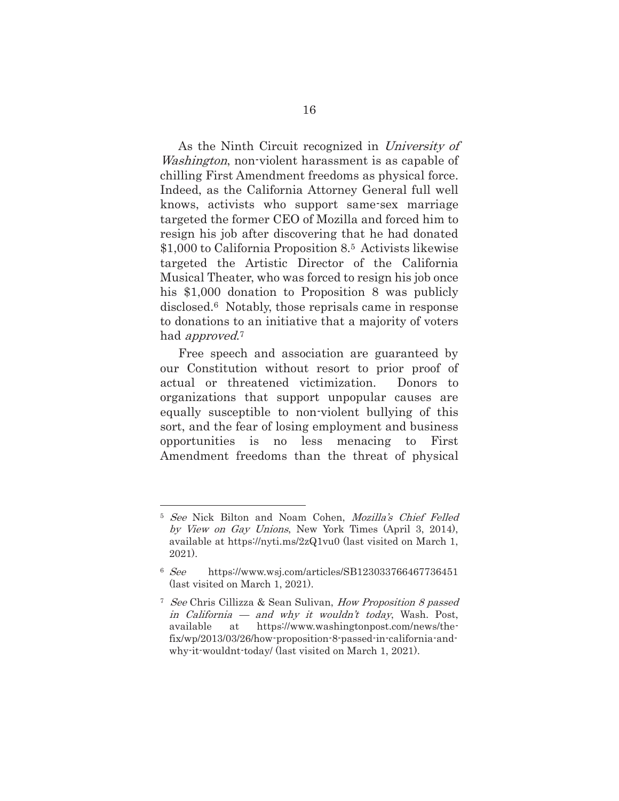As the Ninth Circuit recognized in University of Washington, non-violent harassment is as capable of chilling First Amendment freedoms as physical force. Indeed, as the California Attorney General full well knows, activists who support same-sex marriage targeted the former CEO of Mozilla and forced him to resign his job after discovering that he had donated \$1,000 to California Proposition 8.5 Activists likewise targeted the Artistic Director of the California Musical Theater, who was forced to resign his job once his \$1,000 donation to Proposition 8 was publicly disclosed.6 Notably, those reprisals came in response to donations to an initiative that a majority of voters had *approved*.<sup>7</sup>

Free speech and association are guaranteed by our Constitution without resort to prior proof of actual or threatened victimization. Donors to organizations that support unpopular causes are equally susceptible to non-violent bullying of this sort, and the fear of losing employment and business opportunities is no less menacing to First Amendment freedoms than the threat of physical

<sup>5</sup> See Nick Bilton and Noam Cohen, Mozilla's Chief Felled by View on Gay Unions, New York Times (April 3, 2014), available at https://nyti.ms/2zQ1vu0 (last visited on March 1, 2021).

<sup>6</sup> See https://www.wsj.com/articles/SB123033766467736451 (last visited on March 1, 2021).

<sup>7</sup> See Chris Cillizza & Sean Sulivan, How Proposition 8 passed in California — and why it wouldn't today, Wash. Post, available at https://www.washingtonpost.com/news/thefix/wp/2013/03/26/how-proposition-8-passed-in-california-andwhy-it-wouldnt-today/ (last visited on March 1, 2021).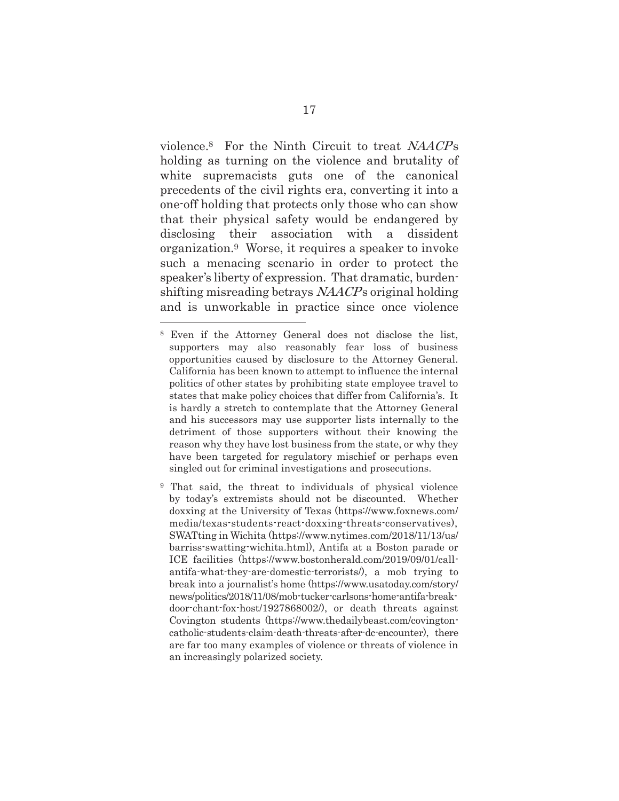violence.<sup>8</sup> For the Ninth Circuit to treat NAACPs holding as turning on the violence and brutality of white supremacists guts one of the canonical precedents of the civil rights era, converting it into a one-off holding that protects only those who can show that their physical safety would be endangered by disclosing their association with a dissident organization.9 Worse, it requires a speaker to invoke such a menacing scenario in order to protect the speaker's liberty of expression. That dramatic, burdenshifting misreading betrays  $NAACP$ s original holding and is unworkable in practice since once violence

<sup>8</sup> Even if the Attorney General does not disclose the list, supporters may also reasonably fear loss of business opportunities caused by disclosure to the Attorney General. California has been known to attempt to influence the internal politics of other states by prohibiting state employee travel to states that make policy choices that differ from California's. It is hardly a stretch to contemplate that the Attorney General and his successors may use supporter lists internally to the detriment of those supporters without their knowing the reason why they have lost business from the state, or why they have been targeted for regulatory mischief or perhaps even singled out for criminal investigations and prosecutions.

<sup>9</sup> That said, the threat to individuals of physical violence by today's extremists should not be discounted. Whether doxxing at the University of Texas (https://www.foxnews.com/ media/texas-students-react-doxxing-threats-conservatives), SWATting in Wichita (https://www.nytimes.com/2018/11/13/us/ barriss-swatting-wichita.html), Antifa at a Boston parade or ICE facilities (https://www.bostonherald.com/2019/09/01/callantifa-what-they-are-domestic-terrorists/), a mob trying to break into a journalist's home (https://www.usatoday.com/story/ news/politics/2018/11/08/mob-tucker-carlsons-home-antifa-breakdoor-chant-fox-host/1927868002/), or death threats against Covington students (https://www.thedailybeast.com/covingtoncatholic-students-claim-death-threats-after-dc-encounter), there are far too many examples of violence or threats of violence in an increasingly polarized society.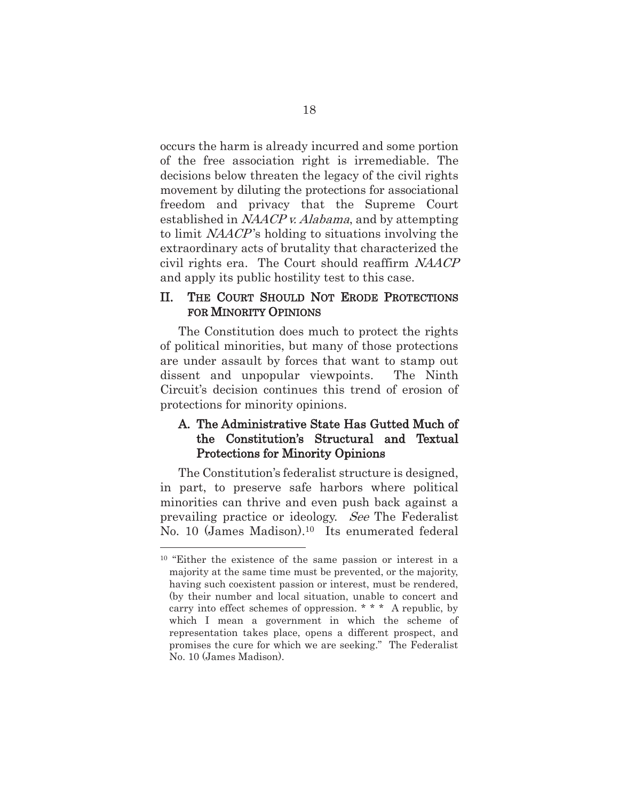occurs the harm is already incurred and some portion of the free association right is irremediable. The decisions below threaten the legacy of the civil rights movement by diluting the protections for associational freedom and privacy that the Supreme Court established in NAACP v. Alabama, and by attempting to limit NAACP 's holding to situations involving the extraordinary acts of brutality that characterized the civil rights era. The Court should reaffirm NAACP and apply its public hostility test to this case.

#### II. THE COURT SHOULD NOT ERODE PROTECTIONS FOR MINORITY OPINIONS

The Constitution does much to protect the rights of political minorities, but many of those protections are under assault by forces that want to stamp out dissent and unpopular viewpoints. The Ninth Circuit's decision continues this trend of erosion of protections for minority opinions.

### A. The Administrative State Has Gutted Much of the Constitution's Structural and Textual Protections for Minority Opinions

The Constitution's federalist structure is designed, in part, to preserve safe harbors where political minorities can thrive and even push back against a prevailing practice or ideology. See The Federalist No. 10 (James Madison).10 Its enumerated federal

<sup>&</sup>lt;sup>10</sup> "Either the existence of the same passion or interest in a majority at the same time must be prevented, or the majority, having such coexistent passion or interest, must be rendered, (by their number and local situation, unable to concert and carry into effect schemes of oppression. \* \* \* A republic, by which I mean a government in which the scheme of representation takes place, opens a different prospect, and promises the cure for which we are seeking." The Federalist No. 10 (James Madison).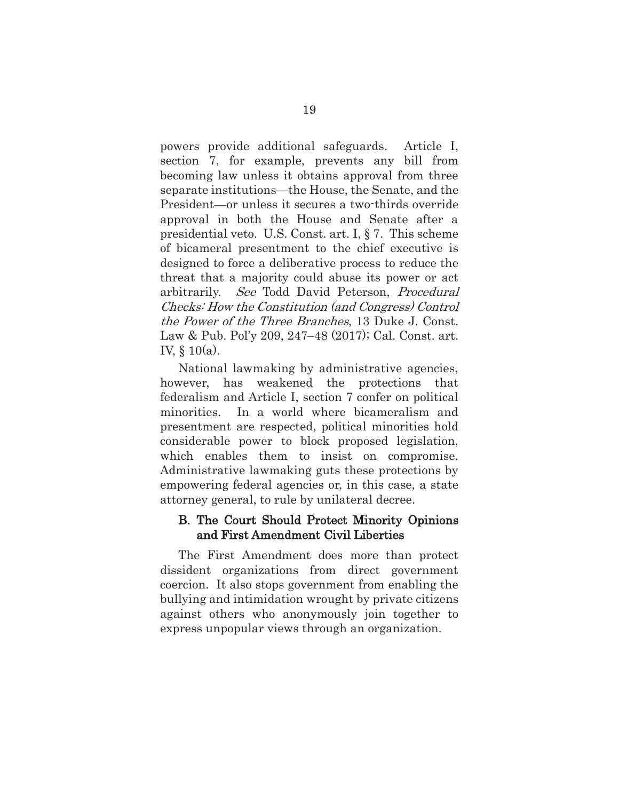powers provide additional safeguards. Article I, section 7, for example, prevents any bill from becoming law unless it obtains approval from three separate institutions—the House, the Senate, and the President—or unless it secures a two-thirds override approval in both the House and Senate after a presidential veto. U.S. Const. art. I, § 7. This scheme of bicameral presentment to the chief executive is designed to force a deliberative process to reduce the threat that a majority could abuse its power or act arbitrarily. See Todd David Peterson, Procedural Checks: How the Constitution (and Congress) Control the Power of the Three Branches, 13 Duke J. Const. Law & Pub. Pol'y 209, 247–48 (2017); Cal. Const. art. IV, § 10(a).

National lawmaking by administrative agencies, however, has weakened the protections that federalism and Article I, section 7 confer on political minorities. In a world where bicameralism and presentment are respected, political minorities hold considerable power to block proposed legislation, which enables them to insist on compromise. Administrative lawmaking guts these protections by empowering federal agencies or, in this case, a state attorney general, to rule by unilateral decree.

#### B. The Court Should Protect Minority Opinions and First Amendment Civil Liberties

The First Amendment does more than protect dissident organizations from direct government coercion. It also stops government from enabling the bullying and intimidation wrought by private citizens against others who anonymously join together to express unpopular views through an organization.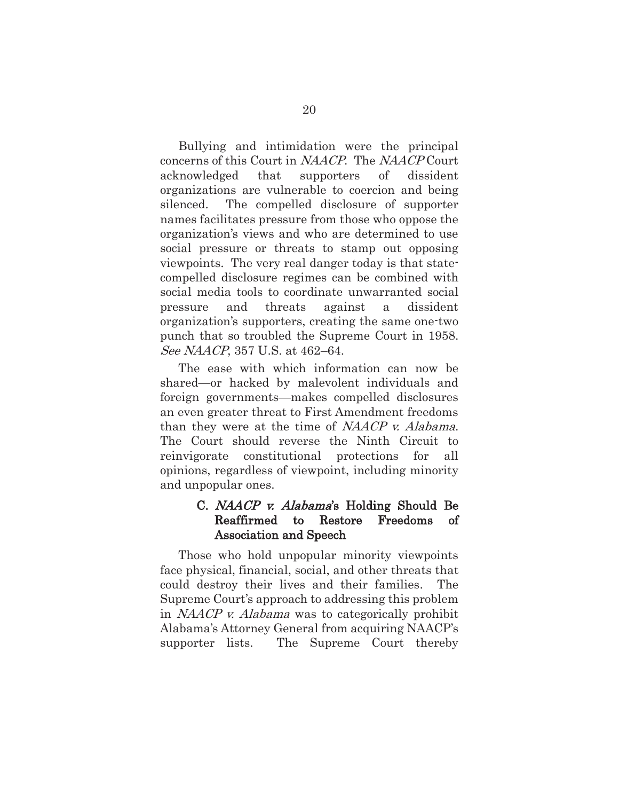Bullying and intimidation were the principal concerns of this Court in NAACP. The NAACP Court acknowledged that supporters of dissident organizations are vulnerable to coercion and being silenced. The compelled disclosure of supporter names facilitates pressure from those who oppose the organization's views and who are determined to use social pressure or threats to stamp out opposing viewpoints. The very real danger today is that statecompelled disclosure regimes can be combined with social media tools to coordinate unwarranted social pressure and threats against a dissident organization's supporters, creating the same one-two punch that so troubled the Supreme Court in 1958. See NAACP, 357 U.S. at 462–64.

The ease with which information can now be shared—or hacked by malevolent individuals and foreign governments—makes compelled disclosures an even greater threat to First Amendment freedoms than they were at the time of NAACP v. Alabama. The Court should reverse the Ninth Circuit to reinvigorate constitutional protections for all opinions, regardless of viewpoint, including minority and unpopular ones.

#### C. *NAACP v. Alabama*'s Holding Should Be Reaffirmed to Restore Freedoms of Association and Speech

Those who hold unpopular minority viewpoints face physical, financial, social, and other threats that could destroy their lives and their families. The Supreme Court's approach to addressing this problem in NAACP v. Alabama was to categorically prohibit Alabama's Attorney General from acquiring NAACP's supporter lists. The Supreme Court thereby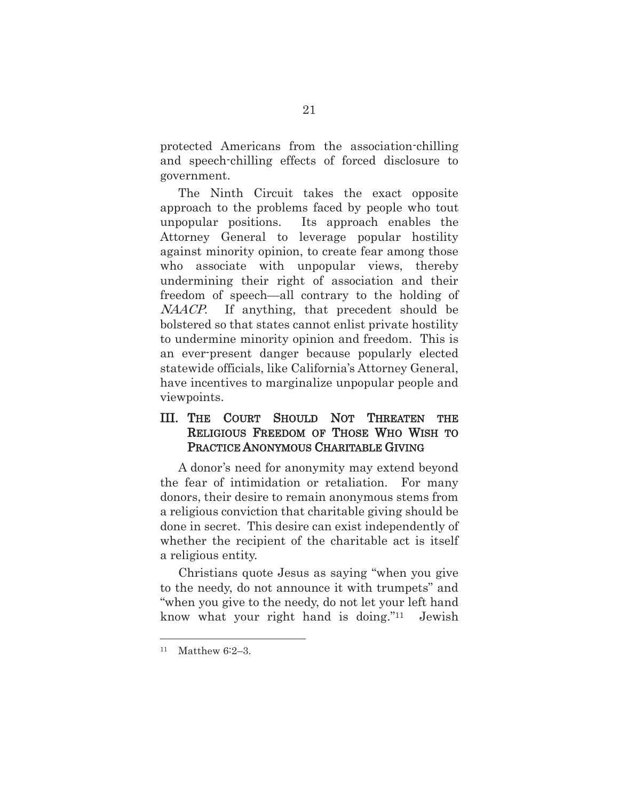protected Americans from the association-chilling and speech-chilling effects of forced disclosure to government.

The Ninth Circuit takes the exact opposite approach to the problems faced by people who tout unpopular positions. Its approach enables the Attorney General to leverage popular hostility against minority opinion, to create fear among those who associate with unpopular views, thereby undermining their right of association and their freedom of speech—all contrary to the holding of NAACP. If anything, that precedent should be bolstered so that states cannot enlist private hostility to undermine minority opinion and freedom. This is an ever-present danger because popularly elected statewide officials, like California's Attorney General, have incentives to marginalize unpopular people and viewpoints.

### III. THE COURT SHOULD NOT THREATEN THE RELIGIOUS FREEDOM OF THOSE WHO WISH TO PRACTICE ANONYMOUS CHARITABLE GIVING

A donor's need for anonymity may extend beyond the fear of intimidation or retaliation. For many donors, their desire to remain anonymous stems from a religious conviction that charitable giving should be done in secret. This desire can exist independently of whether the recipient of the charitable act is itself a religious entity.

Christians quote Jesus as saying "when you give to the needy, do not announce it with trumpets" and "when you give to the needy, do not let your left hand know what your right hand is doing."11 Jewish

<sup>11</sup> Matthew 6:2–3.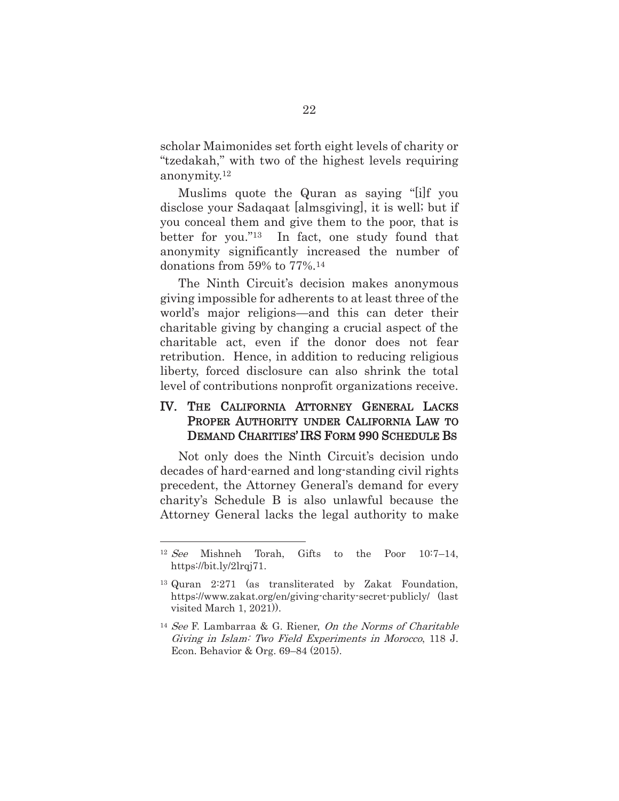scholar Maimonides set forth eight levels of charity or "tzedakah," with two of the highest levels requiring anonymity.12

Muslims quote the Quran as saying "[i]f you disclose your Sadaqaat [almsgiving], it is well; but if you conceal them and give them to the poor, that is better for you."13 In fact, one study found that anonymity significantly increased the number of donations from 59% to 77%.14

The Ninth Circuit's decision makes anonymous giving impossible for adherents to at least three of the world's major religions—and this can deter their charitable giving by changing a crucial aspect of the charitable act, even if the donor does not fear retribution. Hence, in addition to reducing religious liberty, forced disclosure can also shrink the total level of contributions nonprofit organizations receive.

#### IV. THE CALIFORNIA ATTORNEY GENERAL LACKS PROPER AUTHORITY UNDER CALIFORNIA LAW TO DEMAND CHARITIES' IRS FORM 990 SCHEDULE BS

Not only does the Ninth Circuit's decision undo decades of hard-earned and long-standing civil rights precedent, the Attorney General's demand for every charity's Schedule B is also unlawful because the Attorney General lacks the legal authority to make

<sup>12</sup> See Mishneh Torah, Gifts to the Poor 10:7–14, https://bit.ly/2lrqj71.

<sup>13</sup> Quran 2:271 (as transliterated by Zakat Foundation, https://www.zakat.org/en/giving-charity-secret-publicly/ (last visited March 1, 2021)).

<sup>14</sup> See F. Lambarraa & G. Riener, On the Norms of Charitable Giving in Islam: Two Field Experiments in Morocco, 118 J. Econ. Behavior & Org. 69–84 (2015).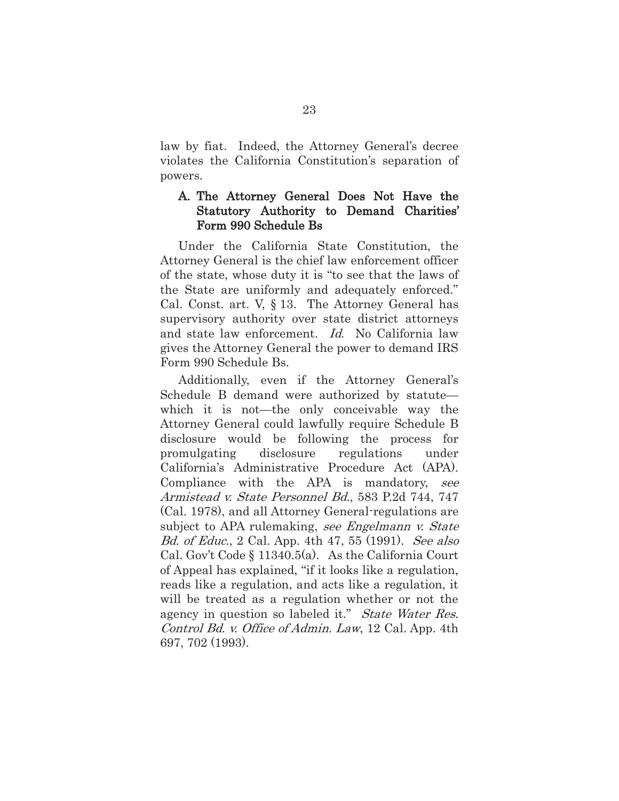law by fiat. Indeed, the Attorney General's decree violates the California Constitution's separation of powers.

#### A. The Attorney General Does Not Have the Statutory Authority to Demand Charities' Form 990 Schedule Bs

Under the California State Constitution, the Attorney General is the chief law enforcement officer of the state, whose duty it is "to see that the laws of the State are uniformly and adequately enforced." Cal. Const. art. V, § 13. The Attorney General has supervisory authority over state district attorneys and state law enforcement. Id. No California law gives the Attorney General the power to demand IRS Form 990 Schedule Bs.

Additionally, even if the Attorney General's Schedule B demand were authorized by statute which it is not—the only conceivable way the Attorney General could lawfully require Schedule B disclosure would be following the process for promulgating disclosure regulations under California's Administrative Procedure Act (APA). Compliance with the APA is mandatory, see Armistead v. State Personnel Bd., 583 P.2d 744, 747 (Cal. 1978), and all Attorney General-regulations are subject to APA rulemaking, see Engelmann v. State Bd. of Educ., 2 Cal. App. 4th 47, 55 (1991). See also Cal. Gov't Code § 11340.5(a). As the California Court of Appeal has explained, "if it looks like a regulation, reads like a regulation, and acts like a regulation, it will be treated as a regulation whether or not the agency in question so labeled it." State Water Res. Control Bd. v. Office of Admin. Law, 12 Cal. App. 4th 697, 702 (1993).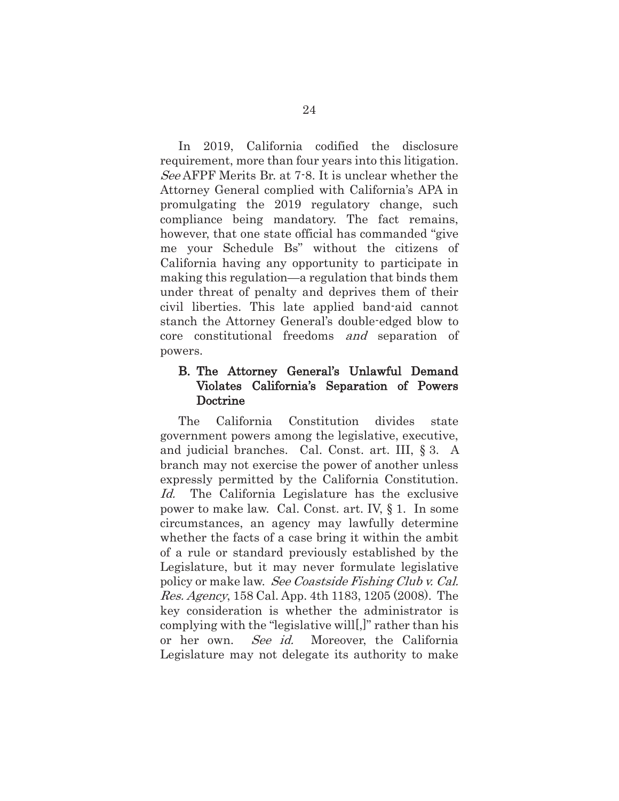In 2019, California codified the disclosure requirement, more than four years into this litigation. See AFPF Merits Br. at 7-8. It is unclear whether the Attorney General complied with California's APA in promulgating the 2019 regulatory change, such compliance being mandatory. The fact remains, however, that one state official has commanded "give me your Schedule Bs" without the citizens of California having any opportunity to participate in making this regulation—a regulation that binds them under threat of penalty and deprives them of their civil liberties. This late applied band-aid cannot stanch the Attorney General's double-edged blow to core constitutional freedoms and separation of powers.

### B. The Attorney General's Unlawful Demand Violates California's Separation of Powers Doctrine

The California Constitution divides state government powers among the legislative, executive, and judicial branches. Cal. Const. art. III, § 3. A branch may not exercise the power of another unless expressly permitted by the California Constitution. Id. The California Legislature has the exclusive power to make law. Cal. Const. art. IV, § 1. In some circumstances, an agency may lawfully determine whether the facts of a case bring it within the ambit of a rule or standard previously established by the Legislature, but it may never formulate legislative policy or make law. See Coastside Fishing Club v. Cal. Res. Agency, 158 Cal. App. 4th 1183, 1205 (2008). The key consideration is whether the administrator is complying with the "legislative will[,]" rather than his or her own. See id. Moreover, the California Legislature may not delegate its authority to make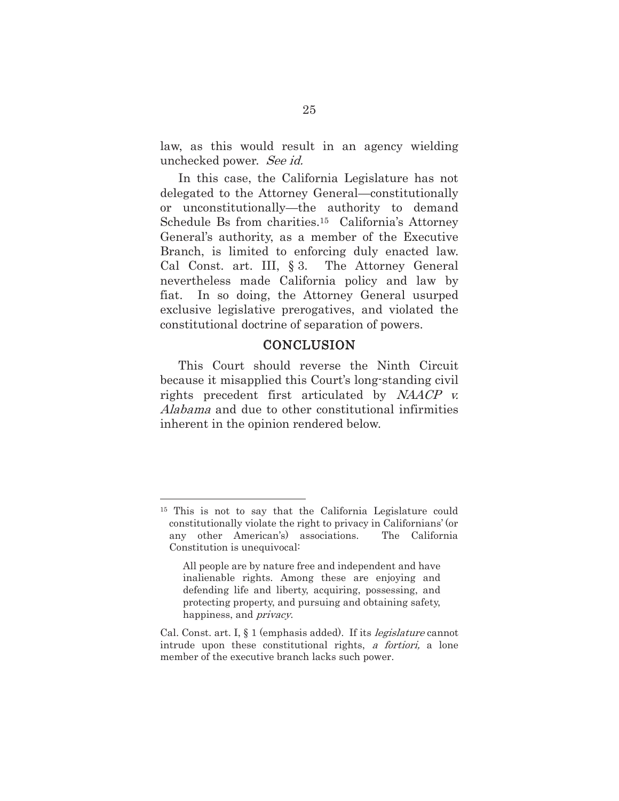law, as this would result in an agency wielding unchecked power. See id.

In this case, the California Legislature has not delegated to the Attorney General—constitutionally or unconstitutionally—the authority to demand Schedule Bs from charities.15 California's Attorney General's authority, as a member of the Executive Branch, is limited to enforcing duly enacted law. Cal Const. art. III, § 3. The Attorney General nevertheless made California policy and law by fiat. In so doing, the Attorney General usurped exclusive legislative prerogatives, and violated the constitutional doctrine of separation of powers.

#### **CONCLUSION**

This Court should reverse the Ninth Circuit because it misapplied this Court's long-standing civil rights precedent first articulated by NAACP v. Alabama and due to other constitutional infirmities inherent in the opinion rendered below.

<sup>&</sup>lt;sup>15</sup> This is not to say that the California Legislature could constitutionally violate the right to privacy in Californians' (or any other American's) associations. The California Constitution is unequivocal:

All people are by nature free and independent and have inalienable rights. Among these are enjoying and defending life and liberty, acquiring, possessing, and protecting property, and pursuing and obtaining safety, happiness, and *privacy*.

Cal. Const. art. I, § 1 (emphasis added). If its *legislature* cannot intrude upon these constitutional rights, a fortiori, a lone member of the executive branch lacks such power.